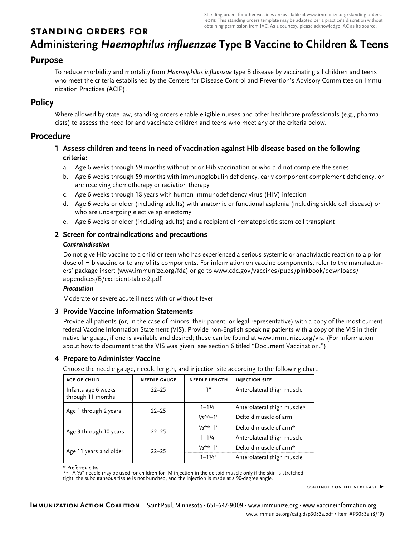Standing orders for other vaccines are available at www.immunize.org/standing-orders. note: This standing orders template may be adapted per a practice's discretion without obtaining permission from IAC. As a courtesy, please acknowledge IAC as its source.

# **standing orders for**

# **Administering** *Haemophilus influenzae* **Type B Vaccine to Children & Teens**

## **Purpose**

To reduce morbidity and mortality from Haemophilus influenzae type B disease by vaccinating all children and teens who meet the criteria established by the Centers for Disease Control and Prevention's Advisory Committee on Immunization Practices (ACIP).

# **Policy**

Where allowed by state law, standing orders enable eligible nurses and other healthcare professionals (e.g., pharmacists) to assess the need for and vaccinate children and teens who meet any of the criteria below.

### **Procedure**

#### **1 Assess children and teens in need of vaccination against Hib disease based on the following criteria:**

- a. Age 6 weeks through 59 months without prior Hib vaccination or who did not complete the series
- b. Age 6 weeks through 59 months with immunoglobulin deficiency, early component complement deficiency, or are receiving chemotherapy or radiation therapy
- c. Age 6 weeks through 18 years with human immunodeficiency virus (HIV) infection
- Age 6 weeks or older (including adults) with anatomic or functional asplenia (including sickle cell disease) or who are undergoing elective splenectomy
- e. Age 6 weeks or older (including adults) and a recipient of hematopoietic stem cell transplant

#### **2 Screen for contraindications and precautions**

#### *Contraindication*

Do not give Hib vaccine to a child or teen who has experienced a serious systemic or anaphylactic reaction to a prior dose of Hib vaccine or to any of its components. For information on vaccine components, refer to the manufacturers' package insert (www.immunize.org/fda) or go to www.cdc.gov/vaccines/pubs/pinkbook/downloads/ appendices/B/excipient-table-2.pdf.

#### *Precaution*

Moderate or severe acute illness with or without fever

#### **3 Provide Vaccine Information Statements**

Provide all patients (or, in the case of minors, their parent, or legal representative) with a copy of the most current federal Vaccine Information Statement (VIS). Provide non-English speaking patients with a copy of the VIS in their native language, if one is available and desired; these can be found at www.immunize.org/vis. (For information about how to document that the VIS was given, see section 6 titled "Document Vaccination.")

#### **4 Prepare to Administer Vaccine**

Choose the needle gauge, needle length, and injection site according to the following chart:

| <b>AGE OF CHILD</b>                      | <b>NEEDLE GAUGE</b> | <b>NEEDLE LENGTH</b> | <b>INJECTION SITE</b>       |
|------------------------------------------|---------------------|----------------------|-----------------------------|
| Infants age 6 weeks<br>through 11 months | $22 - 25$           | יי ד                 | Anterolateral thigh muscle  |
| Age 1 through 2 years                    | $22 - 25$           | $1 - 1\frac{1}{4}$ " | Anterolateral thigh muscle* |
|                                          |                     | $5/8**-1"$           | Deltoid muscle of arm       |
| Age 3 through 10 years                   | $22 - 25$           | $5/8**-1"$           | Deltoid muscle of arm*      |
|                                          |                     | $1 - 11/4$ "         | Anterolateral thigh muscle  |
| Age 11 years and older                   | $22 - 25$           | $5/8**-1"$           | Deltoid muscle of arm*      |
|                                          |                     | $1 - 11/2$ "         | Anterolateral thigh muscle  |

\* Preferred site.

\*\* A ⅝" needle may be used for children for IM injection in the deltoid muscle only if the skin is stretched tight, the subcutaneous tissue is not bunched, and the injection is made at a 90-degree angle.

continued on the next page ▶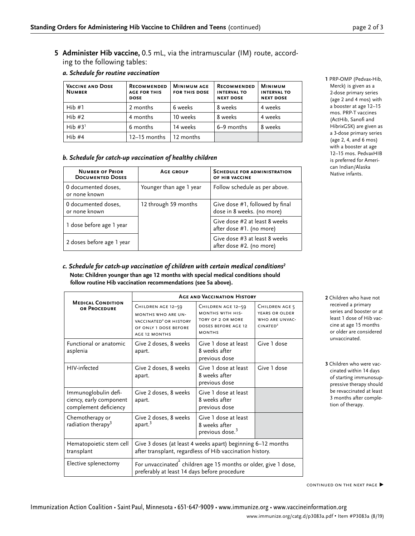**5 Administer Hib vaccine,** 0.5 mL, via the intramuscular (IM) route, according to the following tables:

| <b>VACCINE AND DOSE</b><br><b>NUMBER</b> | <b>RECOMMENDED</b><br><b>AGE FOR THIS</b><br><b>DOSE</b> | <b>MINIMUM AGE</b><br><b>FOR THIS DOSE</b> | <b>RECOMMENDED</b><br><b>INTERVAL TO</b><br><b>NEXT DOSE</b> | <b>MINIMUM</b><br><b>INTERVAL TO</b><br><b>NEXT DOSE</b> |
|------------------------------------------|----------------------------------------------------------|--------------------------------------------|--------------------------------------------------------------|----------------------------------------------------------|
| Hib#1                                    | 2 months                                                 | 6 weeks                                    | 8 weeks                                                      | 4 weeks                                                  |
| Hib#2                                    | 4 months                                                 | 10 weeks                                   | 8 weeks                                                      | 4 weeks                                                  |
| Hib $#31$                                | 6 months                                                 | 14 weeks                                   | 6–9 months                                                   | 8 weeks                                                  |
| Hib#4                                    | 12–15 months                                             | 12 months                                  |                                                              |                                                          |

#### *a. Schedule for routine vaccination*

#### *b. Schedule for catch-up vaccination of healthy children*

| <b>NUMBER OF PRIOR</b><br><b>DOCUMENTED DOSES</b> | <b>AGE GROUP</b>        | <b>SCHEDULE FOR ADMINISTRATION</b><br>OF HIB VACCINE          |
|---------------------------------------------------|-------------------------|---------------------------------------------------------------|
| 0 documented doses,<br>or none known              | Younger than age 1 year | Follow schedule as per above.                                 |
| 0 documented doses.<br>or none known              | 12 through 59 months    | Give dose #1, followed by final<br>dose in 8 weeks. (no more) |
| 1 dose before age 1 year                          |                         | Give dose #2 at least 8 weeks<br>after dose #1. (no more)     |
| 2 doses before age 1 year                         |                         | Give dose #3 at least 8 weeks<br>after dose #2. (no more)     |

#### *c. Schedule for catch-up vaccination of children with certain medical conditions2* **Note: Children younger than age 12 months with special medical conditions should follow routine Hib vaccination recommendations (see 5a above).**

|                                                                          | <b>AGE AND VACCINATION HISTORY</b>                                                                                                     |                                                                                                     |                                                                            |  |
|--------------------------------------------------------------------------|----------------------------------------------------------------------------------------------------------------------------------------|-----------------------------------------------------------------------------------------------------|----------------------------------------------------------------------------|--|
| <b>MEDICAL CONDITION</b><br>OR PROCEDURE                                 | CHILDREN AGE 12-59<br><b>MONTHS WHO ARE UN-</b><br>VACCINATED <sup>2</sup> OR HISTORY<br>OF ONLY 1 DOSE BEFORE<br><b>AGE 12 MONTHS</b> | CHILDREN AGE 12-59<br>MONTHS WITH HIS-<br>TORY OF 2 OR MORE<br>DOSES BEFORE AGE 12<br><b>MONTHS</b> | CHILDREN AGE 5<br>YEARS OR OLDER<br>WHO ARE UNVAC-<br>CINATED <sup>2</sup> |  |
| Functional or anatomic<br>asplenia                                       | Give 2 doses, 8 weeks<br>apart.                                                                                                        | Give 1 dose at least<br>8 weeks after<br>previous dose                                              | Give 1 dose                                                                |  |
| HIV-infected                                                             | Give 2 doses, 8 weeks<br>apart.                                                                                                        | Give 1 dose at least<br>8 weeks after<br>previous dose                                              | Give 1 dose                                                                |  |
| Immunoglobulin defi-<br>ciency, early component<br>complement deficiency | Give 2 doses, 8 weeks<br>apart.                                                                                                        | Give 1 dose at least<br>8 weeks after<br>previous dose                                              |                                                                            |  |
| Chemotherapy or<br>radiation therapy <sup>3</sup>                        | Give 2 doses, 8 weeks<br>apart. $3$                                                                                                    | Give 1 dose at least<br>8 weeks after<br>previous dose. <sup>3</sup>                                |                                                                            |  |
| Hematopoietic stem cell<br>transplant                                    | Give 3 doses (at least 4 weeks apart) beginning 6–12 months<br>after transplant, regardless of Hib vaccination history.                |                                                                                                     |                                                                            |  |
| Elective splenectomy                                                     | For unvaccinated children age 15 months or older, give 1 dose,<br>preferably at least 14 days before procedure                         |                                                                                                     |                                                                            |  |

**1** PRP-OMP (Pedvax-Hib, Merck) is given as a 2-dose primary series (age 2 and 4 mos) with a booster at age 12–15 mos. PRP-T vaccines (ActHib, Sanofi and HibrixGSK) are given as a 3-dose primary series (age 2, 4, and 6 mos) with a booster at age 12–15 mos. PedvaxHIB is preferred for American Indian/Alaska Native infants.

- **2** Children who have not received a primary series and booster or at least 1 dose of Hib vaccine at age 15 months or older are considered unvaccinated.
- **3** Children who were vaccinated within 14 days of starting immunosuppressive therapy should be revaccinated at least 3 months after completion of therapy.

continued on the next page ▶